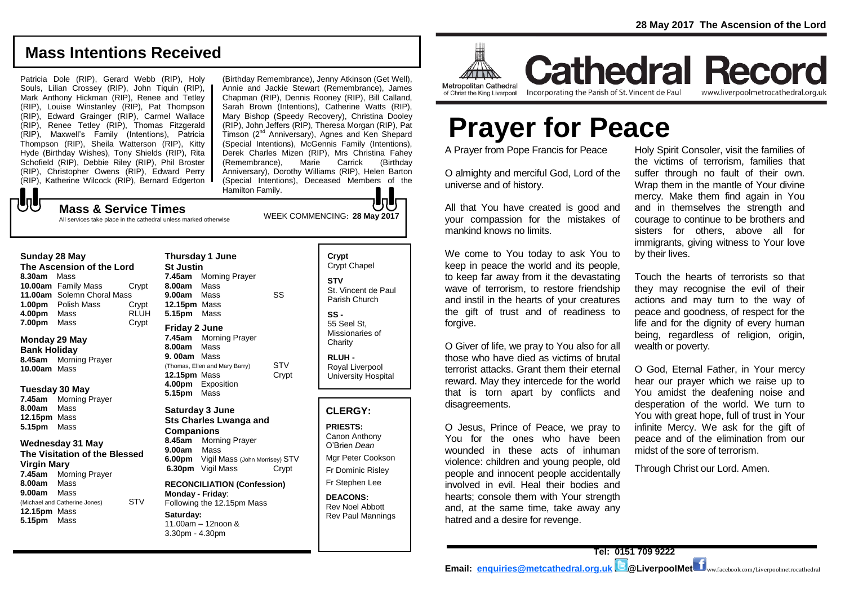www.liverpoolmetrocathedral.org.uk

## **Mass Intentions Received**

Patricia Dole (RIP), Gerard Webb (RIP), Holy Souls, Lilian Crossey (RIP), John Tiquin (RIP), Mark Anthony Hickman (RIP), Renee and Tetley (RIP), Louise Winstanley (RIP), Pat Thompson (RIP), Edward Grainger (RIP), Carmel Wallace (RIP), Renee Tetley (RIP), Thomas Fitzgerald (RIP), Maxwell's Family (Intentions), Patricia Thompson (RIP), Sheila Watterson (RIP), Kitty Hyde (Birthday Wishes), Tony Shields (RIP), Rita Schofield (RIP), Debbie Riley (RIP), Phil Broster (RIP), Christopher Owens (RIP), Edward Perry (RIP), Katherine Wilcock (RIP), Bernard Edgerton (Birthday Remembrance), Jenny Atkinson (Get Well), Annie and Jackie Stewart (Remembrance), James Chapman (RIP), Dennis Rooney (RIP), Bill Calland, Sarah Brown (Intentions), Catherine Watts (RIP), Mary Bishop (Speedy Recovery), Christina Dooley (RIP), John Jeffers (RIP), Theresa Morgan (RIP), Pat Timson (2nd Anniversary), Agnes and Ken Shepard (Special Intentions), McGennis Family (Intentions), Derek Charles Mizen (RIP), Mrs Christina Fahey (Remembrance), Marie Carrick (Birthday Anniversary), Dorothy Williams (RIP), Helen Barton (Special Intentions), Deceased Members of the Hamilton Family.

# WEEK COMMENCING: **28 May 2017 Mass & Service Times**

All services take place in the cathedral unless marked otherwise

### **Sunday 28 May**

**UU** 

**The Ascension of the Lord 8.30am** Mass **10.00am** Family Mass Crypt **11.00am** Solemn Choral Mass **1.00pm** Polish Mass Crypt **4.00pm** Mass RLUH **7.00pm** Mass Crypt

## **Monday 29 May**

**Bank Holiday 8.45am** Morning Prayer **10.00am** Mass

## **Tuesday 30 May**

**7.45am** Morning Prayer **8.00am** Mass **12.15pm** Mass **5.15pm** Mass

#### **Wednesday 31 May**

**The Visitation of the Blessed Virgin Mary 7.45am** Morning Prayer **8.00am** Mass **9.00am** Mass (Michael and Catherine Jones) STV **12.15pm** Mass **5.15pm** Mass

**Thursday 1 June St Justin 7.45am** Morning Prayer **8.00am** Mass **9.00am** Mass SS **12.15pm** Mass **5.15pm** Mass **Friday 2 June 7.45am** Morning Prayer **8.00am** Mass **9. 00am** Mass (Thomas, Ellen and Mary Barry) STV **12.15pm** Mass Crypt **4.00pm** Exposition **5.15pm** Mass **Saturday 3 June Sts Charles Lwanga and Companions**

**8.45am** Morning Prayer **9.00am** Mass **6.00pm Vigil Mass (John Morrisey) STV**<br>**6.30pm Vigil Mass Crypt 6.30pm** Vigil Mass

#### **RECONCILIATION (Confession) Monday - Friday**: Following the 12.15pm Mass

**Saturday:** 11.00am – 12noon & 3.30pm - 4.30pm

Crypt Chapel **STV** St. Vincent de Paul Parish Church **SS -** 55 Seel St, Missionaries of **Charity RLUH -** Royal Liverpool University Hospital

**Crypt** 

## **CLERGY:**

**PRIESTS:** Canon Anthony O'Brien *Dean* Mgr Peter Cookson Fr Dominic Risley Fr Stephen Lee

**DEACONS:** Rev Noel Abbott Rev Paul Mannings



of Christ the King Liverpool

Incorporating the Parish of St. Vincent de Paul

# **Prayer for Peace**

A Prayer from Pope Francis for Peace

O almighty and merciful God, Lord of the universe and of history.

All that You have created is good and your compassion for the mistakes of mankind knows no limits.

We come to You today to ask You to keep in peace the world and its people, to keep far away from it the devastating wave of terrorism, to restore friendship and instil in the hearts of your creatures the gift of trust and of readiness to forgive.

O Giver of life, we pray to You also for all those who have died as victims of brutal terrorist attacks. Grant them their eternal reward. May they intercede for the world that is torn apart by conflicts and disagreements.

O Jesus, Prince of Peace, we pray to You for the ones who have been wounded in these acts of inhuman violence: children and young people, old people and innocent people accidentally involved in evil. Heal their bodies and hearts; console them with Your strength and, at the same time, take away any hatred and a desire for revenge.

Holy Spirit Consoler, visit the families of the victims of terrorism, families that suffer through no fault of their own. Wrap them in the mantle of Your divine mercy. Make them find again in You and in themselves the strength and courage to continue to be brothers and sisters for others, above all for immigrants, giving witness to Your love by their lives.

Touch the hearts of terrorists so that they may recognise the evil of their actions and may turn to the way of peace and goodness, of respect for the life and for the dignity of every human being, regardless of religion, origin, wealth or poverty.

O God, Eternal Father, in Your mercy hear our prayer which we raise up to You amidst the deafening noise and desperation of the world. We turn to You with great hope, full of trust in Your infinite Mercy. We ask for the gift of peace and of the elimination from our midst of the sore of terrorism.

Through Christ our Lord. Amen.